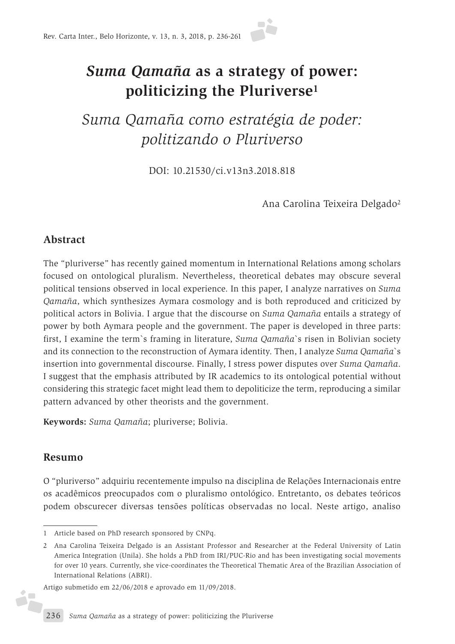# *Suma Qamaña* **as a strategy of power: politicizing the Pluriverse1**

*Suma Qamaña como estratégia de poder: politizando o Pluriverso*

DOI: 10.21530/ci.v13n3.2018.818

Ana Carolina Teixeira Delgado2

### **Abstract**

The "pluriverse" has recently gained momentum in International Relations among scholars focused on ontological pluralism. Nevertheless, theoretical debates may obscure several political tensions observed in local experience. In this paper, I analyze narratives on *Suma Qamaña*, which synthesizes Aymara cosmology and is both reproduced and criticized by political actors in Bolivia. I argue that the discourse on *Suma Qamaña* entails a strategy of power by both Aymara people and the government. The paper is developed in three parts: first, I examine the term`s framing in literature, *Suma Qamaña*`s risen in Bolivian society and its connection to the reconstruction of Aymara identity. Then, I analyze *Suma Qamaña*`s insertion into governmental discourse. Finally, I stress power disputes over *Suma Qamaña*. I suggest that the emphasis attributed by IR academics to its ontological potential without considering this strategic facet might lead them to depoliticize the term, reproducing a similar pattern advanced by other theorists and the government.

**Keywords:** *Suma Qamaña*; pluriverse; Bolivia.

#### **Resumo**

é.

O "pluriverso" adquiriu recentemente impulso na disciplina de Relações Internacionais entre os acadêmicos preocupados com o pluralismo ontológico. Entretanto, os debates teóricos podem obscurecer diversas tensões políticas observadas no local. Neste artigo, analiso

<sup>1</sup> Article based on PhD research sponsored by CNPq.

<sup>2</sup> Ana Carolina Teixeira Delgado is an Assistant Professor and Researcher at the Federal University of Latin America Integration (Unila). She holds a PhD from IRI/PUC-Rio and has been investigating social movements for over 10 years. Currently, she vice-coordinates the Theoretical Thematic Area of the Brazilian Association of International Relations (ABRI).

Artigo submetido em 22/06/2018 e aprovado em 11/09/2018.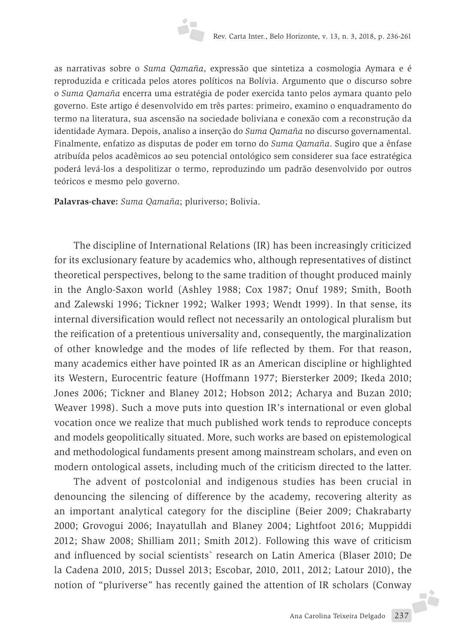as narrativas sobre o *Suma Qamaña*, expressão que sintetiza a cosmologia Aymara e é reproduzida e criticada pelos atores políticos na Bolívia. Argumento que o discurso sobre o *Suma Qamaña* encerra uma estratégia de poder exercida tanto pelos aymara quanto pelo governo. Este artigo é desenvolvido em três partes: primeiro, examino o enquadramento do termo na literatura, sua ascensão na sociedade boliviana e conexão com a reconstrução da identidade Aymara. Depois, analiso a inserção do *Suma Qamaña* no discurso governamental. Finalmente, enfatizo as disputas de poder em torno do *Suma Qamaña*. Sugiro que a ênfase atribuída pelos acadêmicos ao seu potencial ontológico sem considerer sua face estratégica poderá levá-los a despolitizar o termo, reproduzindo um padrão desenvolvido por outros teóricos e mesmo pelo governo.

**Palavras-chave:** *Suma Qamaña*; pluriverso; Bolivia.

The discipline of International Relations (IR) has been increasingly criticized for its exclusionary feature by academics who, although representatives of distinct theoretical perspectives, belong to the same tradition of thought produced mainly in the Anglo-Saxon world (Ashley 1988; Cox 1987; Onuf 1989; Smith, Booth and Zalewski 1996; Tickner 1992; Walker 1993; Wendt 1999). In that sense, its internal diversification would reflect not necessarily an ontological pluralism but the reification of a pretentious universality and, consequently, the marginalization of other knowledge and the modes of life reflected by them. For that reason, many academics either have pointed IR as an American discipline or highlighted its Western, Eurocentric feature (Hoffmann 1977; Biersterker 2009; Ikeda 2010; Jones 2006; Tickner and Blaney 2012; Hobson 2012; Acharya and Buzan 2010; Weaver 1998). Such a move puts into question IR's international or even global vocation once we realize that much published work tends to reproduce concepts and models geopolitically situated. More, such works are based on epistemological and methodological fundaments present among mainstream scholars, and even on modern ontological assets, including much of the criticism directed to the latter.

The advent of postcolonial and indigenous studies has been crucial in denouncing the silencing of difference by the academy, recovering alterity as an important analytical category for the discipline (Beier 2009; Chakrabarty 2000; Grovogui 2006; Inayatullah and Blaney 2004; Lightfoot 2016; Muppiddi 2012; Shaw 2008; Shilliam 2011; Smith 2012). Following this wave of criticism and influenced by social scientists` research on Latin America (Blaser 2010; De la Cadena 2010, 2015; Dussel 2013; Escobar, 2010, 2011, 2012; Latour 2010), the notion of "pluriverse" has recently gained the attention of IR scholars (Conway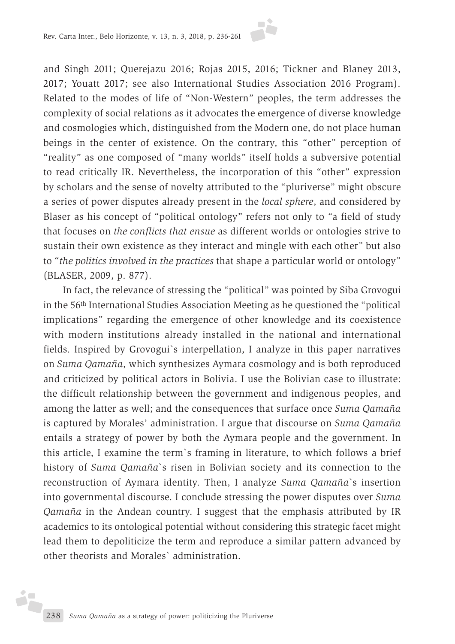

and Singh 2011; Querejazu 2016; Rojas 2015, 2016; Tickner and Blaney 2013, 2017; Youatt 2017; see also International Studies Association 2016 Program). Related to the modes of life of "Non-Western" peoples, the term addresses the complexity of social relations as it advocates the emergence of diverse knowledge and cosmologies which, distinguished from the Modern one, do not place human beings in the center of existence. On the contrary, this "other" perception of "reality" as one composed of "many worlds" itself holds a subversive potential to read critically IR. Nevertheless, the incorporation of this "other" expression by scholars and the sense of novelty attributed to the "pluriverse" might obscure a series of power disputes already present in the *local sphere*, and considered by Blaser as his concept of "political ontology" refers not only to "a field of study that focuses on *the conflicts that ensue* as different worlds or ontologies strive to sustain their own existence as they interact and mingle with each other" but also to "*the politics involved in the practices* that shape a particular world or ontology" (BLASER, 2009, p. 877).

In fact, the relevance of stressing the "political" was pointed by Siba Grovogui in the 56th International Studies Association Meeting as he questioned the "political implications" regarding the emergence of other knowledge and its coexistence with modern institutions already installed in the national and international fields. Inspired by Grovogui`s interpellation, I analyze in this paper narratives on *Suma Qamaña*, which synthesizes Aymara cosmology and is both reproduced and criticized by political actors in Bolivia. I use the Bolivian case to illustrate: the difficult relationship between the government and indigenous peoples, and among the latter as well; and the consequences that surface once *Suma Qamaña* is captured by Morales' administration. I argue that discourse on *Suma Qamaña* entails a strategy of power by both the Aymara people and the government. In this article, I examine the term`s framing in literature, to which follows a brief history of *Suma Qamaña*`s risen in Bolivian society and its connection to the reconstruction of Aymara identity. Then, I analyze *Suma Qamaña*`s insertion into governmental discourse. I conclude stressing the power disputes over *Suma Qamaña* in the Andean country. I suggest that the emphasis attributed by IR academics to its ontological potential without considering this strategic facet might lead them to depoliticize the term and reproduce a similar pattern advanced by other theorists and Morales` administration.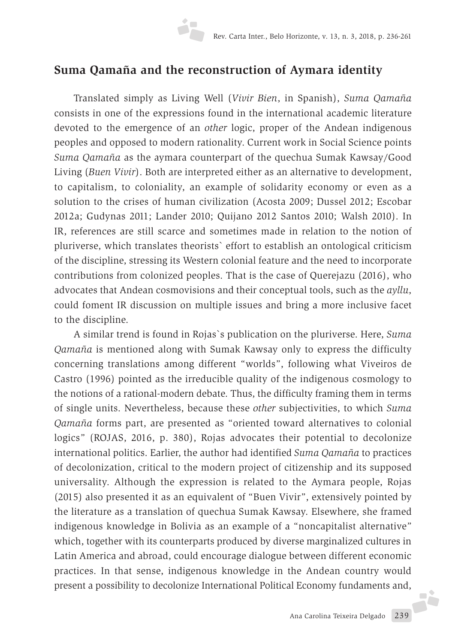# **Suma Qamaña and the reconstruction of Aymara identity**

Translated simply as Living Well (*Vivir Bien*, in Spanish), *Suma Qamaña* consists in one of the expressions found in the international academic literature devoted to the emergence of an *other* logic, proper of the Andean indigenous peoples and opposed to modern rationality. Current work in Social Science points *Suma Qamaña* as the aymara counterpart of the quechua Sumak Kawsay/Good Living (*Buen Vivir*). Both are interpreted either as an alternative to development, to capitalism, to coloniality, an example of solidarity economy or even as a solution to the crises of human civilization (Acosta 2009; Dussel 2012; Escobar 2012a; Gudynas 2011; Lander 2010; Quijano 2012 Santos 2010; Walsh 2010). In IR, references are still scarce and sometimes made in relation to the notion of pluriverse, which translates theorists` effort to establish an ontological criticism of the discipline, stressing its Western colonial feature and the need to incorporate contributions from colonized peoples. That is the case of Querejazu (2016), who advocates that Andean cosmovisions and their conceptual tools, such as the *ayllu*, could foment IR discussion on multiple issues and bring a more inclusive facet to the discipline.

A similar trend is found in Rojas`s publication on the pluriverse. Here, *Suma Qamaña* is mentioned along with Sumak Kawsay only to express the difficulty concerning translations among different "worlds", following what Viveiros de Castro (1996) pointed as the irreducible quality of the indigenous cosmology to the notions of a rational-modern debate. Thus, the difficulty framing them in terms of single units. Nevertheless, because these *other* subjectivities, to which *Suma Qamaña* forms part, are presented as "oriented toward alternatives to colonial logics" (ROJAS, 2016, p. 380), Rojas advocates their potential to decolonize international politics. Earlier, the author had identified *Suma Qamaña* to practices of decolonization, critical to the modern project of citizenship and its supposed universality. Although the expression is related to the Aymara people, Rojas (2015) also presented it as an equivalent of "Buen Vivir", extensively pointed by the literature as a translation of quechua Sumak Kawsay. Elsewhere, she framed indigenous knowledge in Bolivia as an example of a "noncapitalist alternative" which, together with its counterparts produced by diverse marginalized cultures in Latin America and abroad, could encourage dialogue between different economic practices. In that sense, indigenous knowledge in the Andean country would present a possibility to decolonize International Political Economy fundaments and,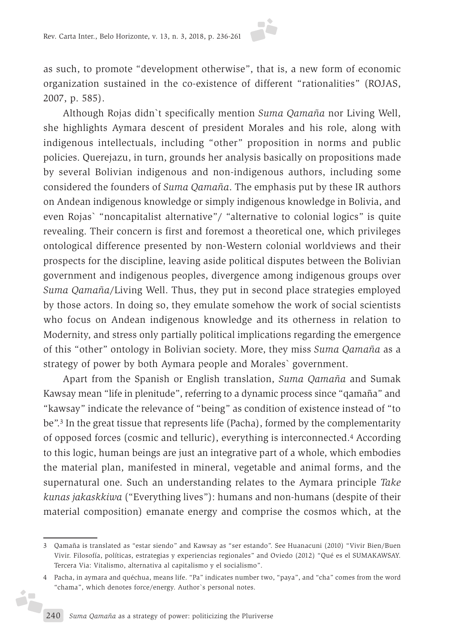as such, to promote "development otherwise", that is, a new form of economic organization sustained in the co-existence of different "rationalities" (ROJAS, 2007, p. 585).

Although Rojas didn`t specifically mention *Suma Qamaña* nor Living Well, she highlights Aymara descent of president Morales and his role, along with indigenous intellectuals, including "other" proposition in norms and public policies. Querejazu, in turn, grounds her analysis basically on propositions made by several Bolivian indigenous and non-indigenous authors, including some considered the founders of *Suma Qamaña*. The emphasis put by these IR authors on Andean indigenous knowledge or simply indigenous knowledge in Bolivia, and even Rojas` "noncapitalist alternative"/ "alternative to colonial logics" is quite revealing. Their concern is first and foremost a theoretical one, which privileges ontological difference presented by non-Western colonial worldviews and their prospects for the discipline, leaving aside political disputes between the Bolivian government and indigenous peoples, divergence among indigenous groups over *Suma Qamaña*/Living Well. Thus, they put in second place strategies employed by those actors. In doing so, they emulate somehow the work of social scientists who focus on Andean indigenous knowledge and its otherness in relation to Modernity, and stress only partially political implications regarding the emergence of this "other" ontology in Bolivian society. More, they miss *Suma Qamaña* as a strategy of power by both Aymara people and Morales` government.

Apart from the Spanish or English translation, *Suma Qamaña* and Sumak Kawsay mean "life in plenitude", referring to a dynamic process since "qamaña" and "kawsay" indicate the relevance of "being" as condition of existence instead of "to be".3 In the great tissue that represents life (Pacha), formed by the complementarity of opposed forces (cosmic and telluric), everything is interconnected.4 According to this logic, human beings are just an integrative part of a whole, which embodies the material plan, manifested in mineral, vegetable and animal forms, and the supernatural one. Such an understanding relates to the Aymara principle *Take kunas jakaskkiwa* ("Everything lives"): humans and non-humans (despite of their material composition) emanate energy and comprise the cosmos which, at the

i,

<sup>3</sup> Qamaña is translated as "estar siendo" and Kawsay as "ser estando". See Huanacuni (2010) "Vivir Bien/Buen Vivir. Filosofía, políticas, estrategias y experiencias regionales" and Oviedo (2012) "Qué es el SUMAKAWSAY. Tercera Via: Vitalismo, alternativa al capitalismo y el socialismo".

<sup>4</sup> Pacha, in aymara and quéchua, means life. "Pa" indicates number two, "paya", and "cha" comes from the word "chama", which denotes force/energy. Author`s personal notes.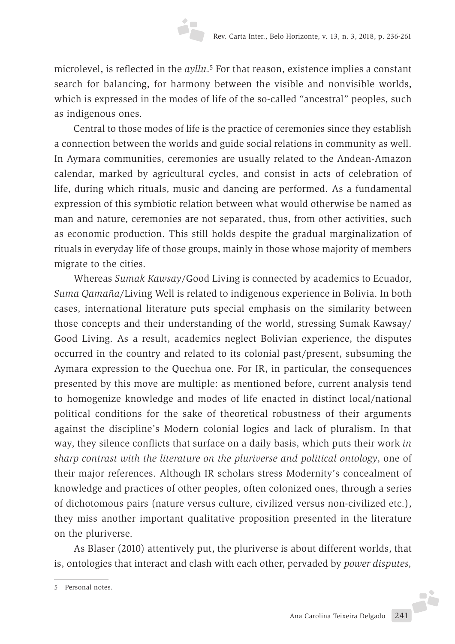microlevel, is reflected in the *ayllu*.5 For that reason, existence implies a constant search for balancing, for harmony between the visible and nonvisible worlds, which is expressed in the modes of life of the so-called "ancestral" peoples, such as indigenous ones.

Central to those modes of life is the practice of ceremonies since they establish a connection between the worlds and guide social relations in community as well. In Aymara communities, ceremonies are usually related to the Andean-Amazon calendar, marked by agricultural cycles, and consist in acts of celebration of life, during which rituals, music and dancing are performed. As a fundamental expression of this symbiotic relation between what would otherwise be named as man and nature, ceremonies are not separated, thus, from other activities, such as economic production. This still holds despite the gradual marginalization of rituals in everyday life of those groups, mainly in those whose majority of members migrate to the cities.

Whereas *Sumak Kawsay*/Good Living is connected by academics to Ecuador, *Suma Qamaña*/Living Well is related to indigenous experience in Bolivia. In both cases, international literature puts special emphasis on the similarity between those concepts and their understanding of the world, stressing Sumak Kawsay/ Good Living. As a result, academics neglect Bolivian experience, the disputes occurred in the country and related to its colonial past/present, subsuming the Aymara expression to the Quechua one. For IR, in particular, the consequences presented by this move are multiple: as mentioned before, current analysis tend to homogenize knowledge and modes of life enacted in distinct local/national political conditions for the sake of theoretical robustness of their arguments against the discipline's Modern colonial logics and lack of pluralism. In that way, they silence conflicts that surface on a daily basis, which puts their work *in sharp contrast with the literature on the pluriverse and political ontology*, one of their major references. Although IR scholars stress Modernity's concealment of knowledge and practices of other peoples, often colonized ones, through a series of dichotomous pairs (nature versus culture, civilized versus non-civilized etc.), they miss another important qualitative proposition presented in the literature on the pluriverse.

As Blaser (2010) attentively put, the pluriverse is about different worlds, that is, ontologies that interact and clash with each other, pervaded by *power disputes,* 

<sup>5</sup> Personal notes.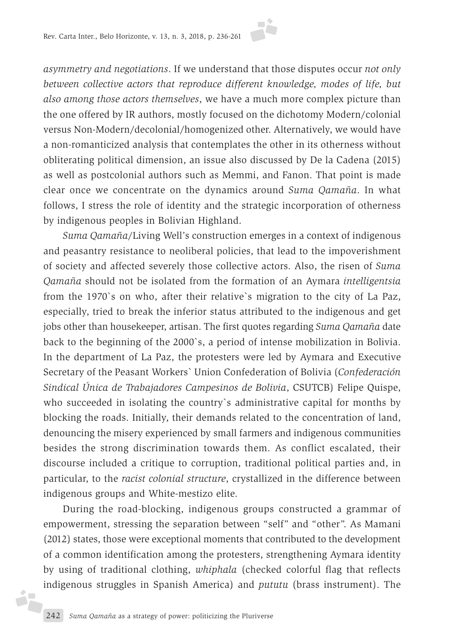by indigenous peoples in Bolivian Highland.

*asymmetry and negotiations*. If we understand that those disputes occur *not only between collective actors that reproduce different knowledge, modes of life, but also among those actors themselves*, we have a much more complex picture than the one offered by IR authors, mostly focused on the dichotomy Modern/colonial versus Non-Modern/decolonial/homogenized other. Alternatively, we would have a non-romanticized analysis that contemplates the other in its otherness without obliterating political dimension, an issue also discussed by De la Cadena (2015) as well as postcolonial authors such as Memmi, and Fanon. That point is made clear once we concentrate on the dynamics around *Suma Qamaña*. In what follows, I stress the role of identity and the strategic incorporation of otherness

*Suma Qamaña*/Living Well's construction emerges in a context of indigenous and peasantry resistance to neoliberal policies, that lead to the impoverishment of society and affected severely those collective actors. Also, the risen of *Suma Qamaña* should not be isolated from the formation of an Aymara *intelligentsia* from the 1970`s on who, after their relative`s migration to the city of La Paz, especially, tried to break the inferior status attributed to the indigenous and get jobs other than housekeeper, artisan. The first quotes regarding *Suma Qamaña* date back to the beginning of the 2000`s, a period of intense mobilization in Bolivia. In the department of La Paz, the protesters were led by Aymara and Executive Secretary of the Peasant Workers` Union Confederation of Bolivia (*Confederación Sindical Única de Trabajadores Campesinos de Bolivia*, CSUTCB) Felipe Quispe, who succeeded in isolating the country`s administrative capital for months by blocking the roads. Initially, their demands related to the concentration of land, denouncing the misery experienced by small farmers and indigenous communities besides the strong discrimination towards them. As conflict escalated, their discourse included a critique to corruption, traditional political parties and, in particular, to the *racist colonial structure*, crystallized in the difference between indigenous groups and White-mestizo elite.

During the road-blocking, indigenous groups constructed a grammar of empowerment, stressing the separation between "self" and "other". As Mamani (2012) states, those were exceptional moments that contributed to the development of a common identification among the protesters, strengthening Aymara identity by using of traditional clothing, *whiphala* (checked colorful flag that reflects indigenous struggles in Spanish America) and *pututu* (brass instrument). The

j.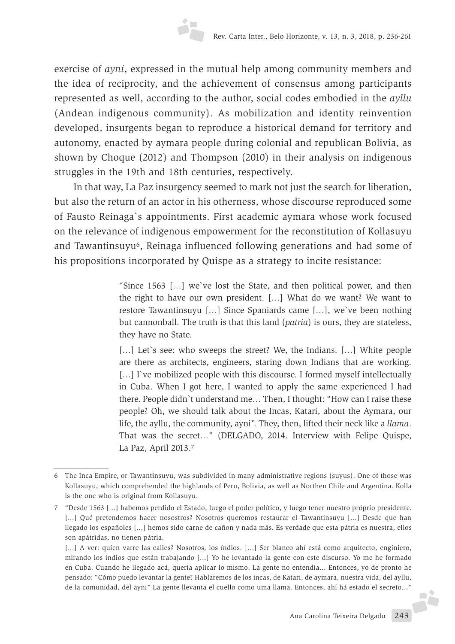exercise of *ayni*, expressed in the mutual help among community members and the idea of reciprocity, and the achievement of consensus among participants represented as well, according to the author, social codes embodied in the *ayllu*  (Andean indigenous community). As mobilization and identity reinvention developed, insurgents began to reproduce a historical demand for territory and autonomy, enacted by aymara people during colonial and republican Bolivia, as shown by Choque (2012) and Thompson (2010) in their analysis on indigenous struggles in the 19th and 18th centuries, respectively.

In that way, La Paz insurgency seemed to mark not just the search for liberation, but also the return of an actor in his otherness, whose discourse reproduced some of Fausto Reinaga`s appointments. First academic aymara whose work focused on the relevance of indigenous empowerment for the reconstitution of Kollasuyu and Tawantinsuyu<sup>6</sup>, Reinaga influenced following generations and had some of his propositions incorporated by Quispe as a strategy to incite resistance:

> "Since 1563 […] we`ve lost the State, and then political power, and then the right to have our own president. […] What do we want? We want to restore Tawantinsuyu […] Since Spaniards came […], we`ve been nothing but cannonball. The truth is that this land (*patria*) is ours, they are stateless, they have no State.

> [...] Let's see: who sweeps the street? We, the Indians. [...] White people are there as architects, engineers, staring down Indians that are working. [...] I`ve mobilized people with this discourse. I formed myself intellectually in Cuba. When I got here, I wanted to apply the same experienced I had there. People didn`t understand me… Then, I thought: "How can I raise these people? Oh, we should talk about the Incas, Katari, about the Aymara, our life, the ayllu, the community, ayni". They, then, lifted their neck like a *llama*. That was the secret…" (DELGADO, 2014. Interview with Felipe Quispe, La Paz, April 2013.7

<sup>6</sup> The Inca Empire, or Tawantinsuyu, was subdivided in many administrative regions (suyus). One of those was Kollasuyu, which comprehended the highlands of Peru, Bolivia, as well as Northen Chile and Argentina. Kolla is the one who is original from Kollasuyu.

<sup>7</sup> "Desde 1563 [...] habemos perdido el Estado, luego el poder político, y luego tener nuestro próprio presidente. [...] Qué pretendemos hacer nosostros? Nosotros queremos restaurar el Tawantinsuyu [...] Desde que han llegado los españoles [...] hemos sido carne de cañon y nada más. Es verdade que esta pátria es nuestra, ellos son apátridas, no tienen pátria.

<sup>[...]</sup> A ver: quien varre las calles? Nosotros, los índios. [...] Ser blanco ahí está como arquitecto, enginiero, mirando los índios que están trabajando [...] Yo he levantado la gente con este discurso. Yo me he formado en Cuba. Cuando he llegado acá, queria aplicar lo mismo. La gente no entendia... Entonces, yo de pronto he pensado: "Cómo puedo levantar la gente? Hablaremos de los incas, de Katari, de aymara, nuestra vida, del ayllu, de la comunidad, del ayni" La gente llevanta el cuello como uma llama. Entonces, ahí há estado el secreto..."JŻ.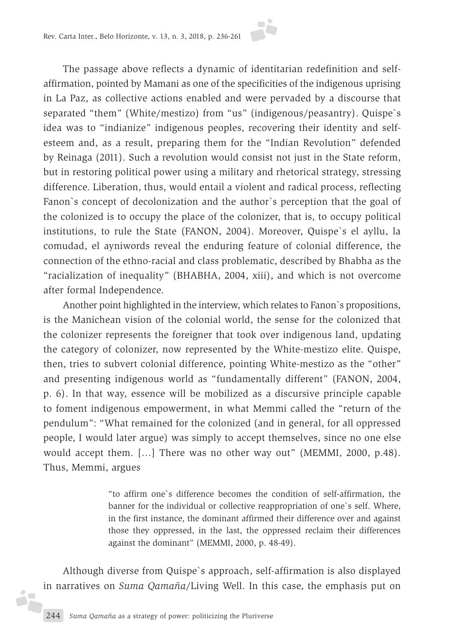The passage above reflects a dynamic of identitarian redefinition and selfaffirmation, pointed by Mamani as one of the specificities of the indigenous uprising in La Paz, as collective actions enabled and were pervaded by a discourse that separated "them" (White/mestizo) from "us" (indigenous/peasantry). Quispe`s idea was to "indianize" indigenous peoples, recovering their identity and selfesteem and, as a result, preparing them for the "Indian Revolution" defended by Reinaga (2011). Such a revolution would consist not just in the State reform, but in restoring political power using a military and rhetorical strategy, stressing difference. Liberation, thus, would entail a violent and radical process, reflecting Fanon`s concept of decolonization and the author`s perception that the goal of the colonized is to occupy the place of the colonizer, that is, to occupy political institutions, to rule the State (FANON, 2004). Moreover, Quispe`s el ayllu, la comudad, el ayniwords reveal the enduring feature of colonial difference, the connection of the ethno-racial and class problematic, described by Bhabha as the "racialization of inequality" (BHABHA, 2004, xiii), and which is not overcome after formal Independence.

Another point highlighted in the interview, which relates to Fanon`s propositions, is the Manichean vision of the colonial world, the sense for the colonized that the colonizer represents the foreigner that took over indigenous land, updating the category of colonizer, now represented by the White-mestizo elite. Quispe, then, tries to subvert colonial difference, pointing White-mestizo as the "other" and presenting indigenous world as "fundamentally different" (FANON, 2004, p. 6). In that way, essence will be mobilized as a discursive principle capable to foment indigenous empowerment, in what Memmi called the "return of the pendulum": "What remained for the colonized (and in general, for all oppressed people, I would later argue) was simply to accept themselves, since no one else would accept them. […] There was no other way out" (MEMMI, 2000, p.48). Thus, Memmi, argues

> "to affirm one`s difference becomes the condition of self-affirmation, the banner for the individual or collective reappropriation of one`s self. Where, in the first instance, the dominant affirmed their difference over and against those they oppressed, in the last, the oppressed reclaim their differences against the dominant" (MEMMI, 2000, p. 48-49).

Although diverse from Quispe`s approach, self-affirmation is also displayed in narratives on *Suma Qamaña*/Living Well. In this case, the emphasis put on

é.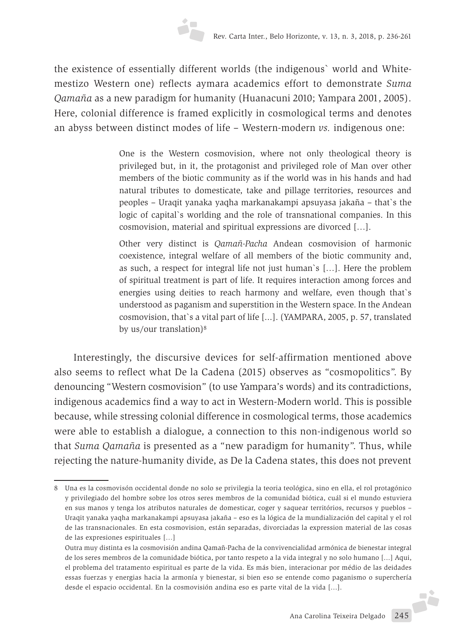the existence of essentially different worlds (the indigenous` world and Whitemestizo Western one) reflects aymara academics effort to demonstrate *Suma Qamaña* as a new paradigm for humanity (Huanacuni 2010; Yampara 2001, 2005). Here, colonial difference is framed explicitly in cosmological terms and denotes an abyss between distinct modes of life – Western-modern *vs.* indigenous one:

> One is the Western cosmovision, where not only theological theory is privileged but, in it, the protagonist and privileged role of Man over other members of the biotic community as if the world was in his hands and had natural tributes to domesticate, take and pillage territories, resources and peoples – Uraqit yanaka yaqha markanakampi apsuyasa jakaña – that`s the logic of capital`s worlding and the role of transnational companies. In this cosmovision, material and spiritual expressions are divorced […].

> Other very distinct is *Qamañ-Pacha* Andean cosmovision of harmonic coexistence, integral welfare of all members of the biotic community and, as such, a respect for integral life not just human`s […]. Here the problem of spiritual treatment is part of life. It requires interaction among forces and energies using deities to reach harmony and welfare, even though that`s understood as paganism and superstition in the Western space. In the Andean cosmovision, that`s a vital part of life [...]. (YAMPARA, 2005, p. 57, translated by us/our translation)<sup>8</sup>

Interestingly, the discursive devices for self-affirmation mentioned above also seems to reflect what De la Cadena (2015) observes as "cosmopolitics". By denouncing "Western cosmovision" (to use Yampara's words) and its contradictions, indigenous academics find a way to act in Western-Modern world. This is possible because, while stressing colonial difference in cosmological terms, those academics were able to establish a dialogue, a connection to this non-indigenous world so that *Suma Qamaña* is presented as a "new paradigm for humanity". Thus, while rejecting the nature-humanity divide, as De la Cadena states, this does not prevent

<sup>8</sup> Una es la cosmovisón occidental donde no solo se privilegia la teoria teológica, sino en ella, el rol protagónico y privilegiado del hombre sobre los otros seres membros de la comunidad biótica, cuál si el mundo estuviera en sus manos y tenga los atributos naturales de domesticar, coger y saquear territórios, recursos y pueblos – Uraqit yanaka yaqha markanakampi apsuyasa jakaña – eso es la lógica de la mundialización del capital y el rol de las transnacionales. En esta cosmovision, están separadas, divorciadas la expression material de las cosas de las expresiones espirituales […]

Outra muy distinta es la cosmovisión andina Qamañ-Pacha de la convivencialidad armónica de bienestar integral de los seres membros de la comunidade biótica, por tanto respeto a la vida integral y no solo humano [...] Aqui, el problema del tratamento espiritual es parte de la vida. Es más bien, interacionar por médio de las deidades essas fuerzas y energias hacia la armonía y bienestar, si bien eso se entende como paganismo o superchería desde el espacio occidental. En la cosmovisión andina eso es parte vital de la vida [...].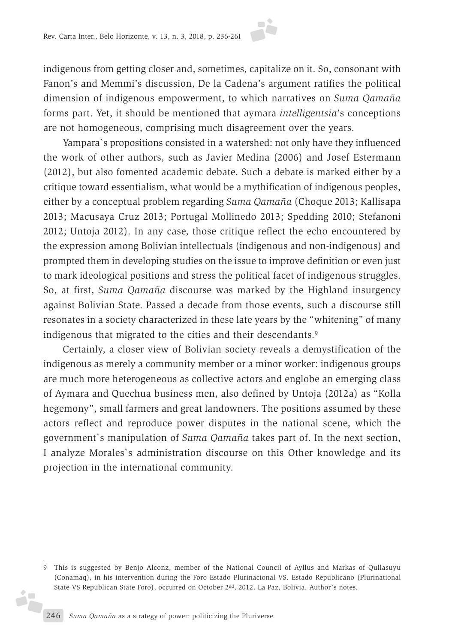indigenous from getting closer and, sometimes, capitalize on it. So, consonant with Fanon's and Memmi's discussion, De la Cadena's argument ratifies the political dimension of indigenous empowerment, to which narratives on *Suma Qamaña* forms part. Yet, it should be mentioned that aymara *intelligentsia*'s conceptions are not homogeneous, comprising much disagreement over the years.

Yampara`s propositions consisted in a watershed: not only have they influenced the work of other authors, such as Javier Medina (2006) and Josef Estermann (2012), but also fomented academic debate. Such a debate is marked either by a critique toward essentialism, what would be a mythification of indigenous peoples, either by a conceptual problem regarding *Suma Qamaña* (Choque 2013; Kallisapa 2013; Macusaya Cruz 2013; Portugal Mollinedo 2013; Spedding 2010; Stefanoni 2012; Untoja 2012). In any case, those critique reflect the echo encountered by the expression among Bolivian intellectuals (indigenous and non-indigenous) and prompted them in developing studies on the issue to improve definition or even just to mark ideological positions and stress the political facet of indigenous struggles. So, at first, *Suma Qamaña* discourse was marked by the Highland insurgency against Bolivian State. Passed a decade from those events, such a discourse still resonates in a society characterized in these late years by the "whitening" of many indigenous that migrated to the cities and their descendants.<sup>9</sup>

Certainly, a closer view of Bolivian society reveals a demystification of the indigenous as merely a community member or a minor worker: indigenous groups are much more heterogeneous as collective actors and englobe an emerging class of Aymara and Quechua business men, also defined by Untoja (2012a) as "Kolla hegemony", small farmers and great landowners. The positions assumed by these actors reflect and reproduce power disputes in the national scene, which the government`s manipulation of *Suma Qamaña* takes part of. In the next section, I analyze Morales`s administration discourse on this Other knowledge and its projection in the international community.

i7

<sup>9</sup> This is suggested by Benjo Alconz, member of the National Council of Ayllus and Markas of Qullasuyu (Conamaq), in his intervention during the Foro Estado Plurinacional VS. Estado Republicano (Plurinational State VS Republican State Foro), occurred on October 2nd, 2012. La Paz, Bolivia. Author`s notes.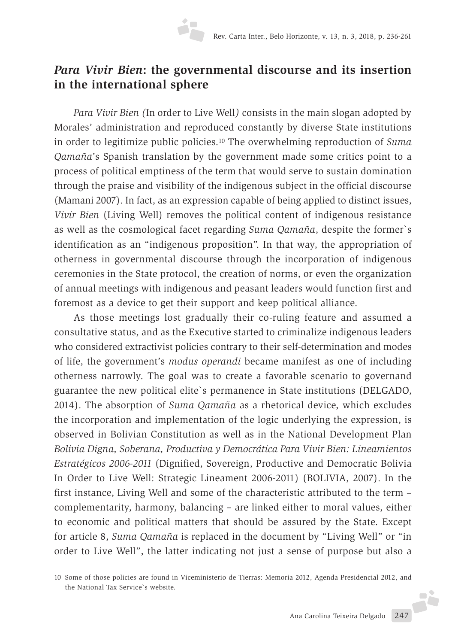## *Para Vivir Bien***: the governmental discourse and its insertion in the international sphere**

*Para Vivir Bien (*In order to Live Well*)* consists in the main slogan adopted by Morales' administration and reproduced constantly by diverse State institutions in order to legitimize public policies.10 The overwhelming reproduction of *Suma Qamaña*'s Spanish translation by the government made some critics point to a process of political emptiness of the term that would serve to sustain domination through the praise and visibility of the indigenous subject in the official discourse (Mamani 2007). In fact, as an expression capable of being applied to distinct issues, *Vivir Bien* (Living Well) removes the political content of indigenous resistance as well as the cosmological facet regarding *Suma Qamaña*, despite the former`s identification as an "indigenous proposition". In that way, the appropriation of otherness in governmental discourse through the incorporation of indigenous ceremonies in the State protocol, the creation of norms, or even the organization of annual meetings with indigenous and peasant leaders would function first and foremost as a device to get their support and keep political alliance.

As those meetings lost gradually their co-ruling feature and assumed a consultative status, and as the Executive started to criminalize indigenous leaders who considered extractivist policies contrary to their self-determination and modes of life, the government's *modus operandi* became manifest as one of including otherness narrowly. The goal was to create a favorable scenario to governand guarantee the new political elite`s permanence in State institutions (DELGADO, 2014). The absorption of *Suma Qamaña* as a rhetorical device, which excludes the incorporation and implementation of the logic underlying the expression, is observed in Bolivian Constitution as well as in the National Development Plan *Bolivia Digna, Soberana, Productiva y Democrática Para Vivir Bien: Lineamientos Estratégicos 2006-2011* (Dignified, Sovereign, Productive and Democratic Bolivia In Order to Live Well: Strategic Lineament 2006-2011) (BOLIVIA, 2007). In the first instance, Living Well and some of the characteristic attributed to the term – complementarity, harmony, balancing – are linked either to moral values, either to economic and political matters that should be assured by the State. Except for article 8, *Suma Qamaña* is replaced in the document by "Living Well" or "in order to Live Well", the latter indicating not just a sense of purpose but also a

<sup>10</sup> Some of those policies are found in Viceministerio de Tierras: Memoria 2012, Agenda Presidencial 2012, and the National Tax Service`s website.F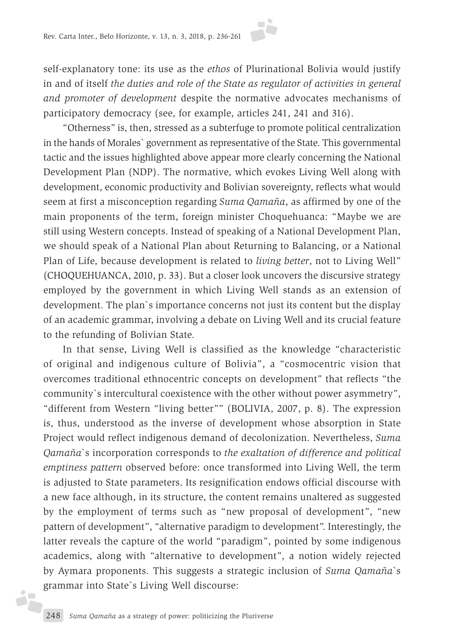self-explanatory tone: its use as the *ethos* of Plurinational Bolivia would justify in and of itself *the duties and role of the State as regulator of activities in general and promoter of development* despite the normative advocates mechanisms of participatory democracy (see, for example, articles 241, 241 and 316).

"Otherness" is, then, stressed as a subterfuge to promote political centralization in the hands of Morales` government as representative of the State. This governmental tactic and the issues highlighted above appear more clearly concerning the National Development Plan (NDP). The normative, which evokes Living Well along with development, economic productivity and Bolivian sovereignty, reflects what would seem at first a misconception regarding *Suma Qamaña*, as affirmed by one of the main proponents of the term, foreign minister Choquehuanca: "Maybe we are still using Western concepts. Instead of speaking of a National Development Plan, we should speak of a National Plan about Returning to Balancing, or a National Plan of Life, because development is related to *living better*, not to Living Well" (CHOQUEHUANCA, 2010, p. 33). But a closer look uncovers the discursive strategy employed by the government in which Living Well stands as an extension of development. The plan`s importance concerns not just its content but the display of an academic grammar, involving a debate on Living Well and its crucial feature to the refunding of Bolivian State.

In that sense, Living Well is classified as the knowledge "characteristic of original and indigenous culture of Bolivia", a "cosmocentric vision that overcomes traditional ethnocentric concepts on development" that reflects "the community`s intercultural coexistence with the other without power asymmetry", "different from Western "living better"" (BOLIVIA, 2007, p. 8). The expression is, thus, understood as the inverse of development whose absorption in State Project would reflect indigenous demand of decolonization. Nevertheless, *Suma Qamaña*`s incorporation corresponds to *the exaltation of difference and political emptiness pattern* observed before: once transformed into Living Well, the term is adjusted to State parameters. Its resignification endows official discourse with a new face although, in its structure, the content remains unaltered as suggested by the employment of terms such as "new proposal of development", "new pattern of development", "alternative paradigm to development". Interestingly, the latter reveals the capture of the world "paradigm", pointed by some indigenous academics, along with "alternative to development", a notion widely rejected by Aymara proponents. This suggests a strategic inclusion of *Suma Qamaña*`s grammar into State`s Living Well discourse:

d.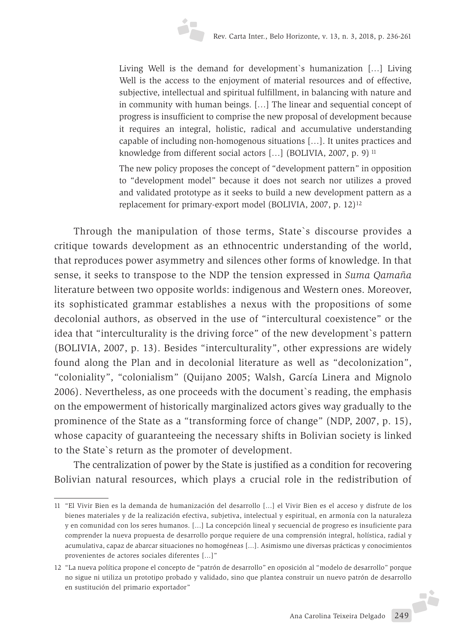Living Well is the demand for development`s humanization […] Living Well is the access to the enjoyment of material resources and of effective, subjective, intellectual and spiritual fulfillment, in balancing with nature and in community with human beings. […] The linear and sequential concept of progress is insufficient to comprise the new proposal of development because it requires an integral, holistic, radical and accumulative understanding capable of including non-homogenous situations […]. It unites practices and knowledge from different social actors [...] (BOLIVIA, 2007, p. 9)<sup>11</sup>

The new policy proposes the concept of "development pattern" in opposition to "development model" because it does not search nor utilizes a proved and validated prototype as it seeks to build a new development pattern as a replacement for primary-export model (BOLIVIA, 2007, p. 12)12

Through the manipulation of those terms, State`s discourse provides a critique towards development as an ethnocentric understanding of the world, that reproduces power asymmetry and silences other forms of knowledge. In that sense, it seeks to transpose to the NDP the tension expressed in *Suma Qamaña* literature between two opposite worlds: indigenous and Western ones. Moreover, its sophisticated grammar establishes a nexus with the propositions of some decolonial authors, as observed in the use of "intercultural coexistence" or the idea that "interculturality is the driving force" of the new development`s pattern (BOLIVIA, 2007, p. 13). Besides "interculturality", other expressions are widely found along the Plan and in decolonial literature as well as "decolonization", "coloniality", "colonialism" (Quijano 2005; Walsh, García Linera and Mignolo 2006). Nevertheless, as one proceeds with the document`s reading, the emphasis on the empowerment of historically marginalized actors gives way gradually to the prominence of the State as a "transforming force of change" (NDP, 2007, p. 15), whose capacity of guaranteeing the necessary shifts in Bolivian society is linked to the State`s return as the promoter of development.

The centralization of power by the State is justified as a condition for recovering Bolivian natural resources, which plays a crucial role in the redistribution of

<sup>11</sup> "El Vivir Bien es la demanda de humanización del desarrollo [...] el Vivir Bien es el acceso y disfrute de los bienes materiales y de la realización efectiva, subjetiva, intelectual y espiritual, en armonía con la naturaleza y en comunidad con los seres humanos. [...] La concepción lineal y secuencial de progreso es insuficiente para comprender la nueva propuesta de desarrollo porque requiere de una comprensión integral, holística, radial y acumulativa, capaz de abarcar situaciones no homogéneas [...]. Asimismo une diversas prácticas y conocimientos provenientes de actores sociales diferentes [...]"

<sup>12</sup> "La nueva política propone el concepto de "patrón de desarrollo" en oposición al "modelo de desarrollo" porque no sigue ni utiliza un prototipo probado y validado, sino que plantea construir un nuevo patrón de desarrollo en sustitución del primario exportador"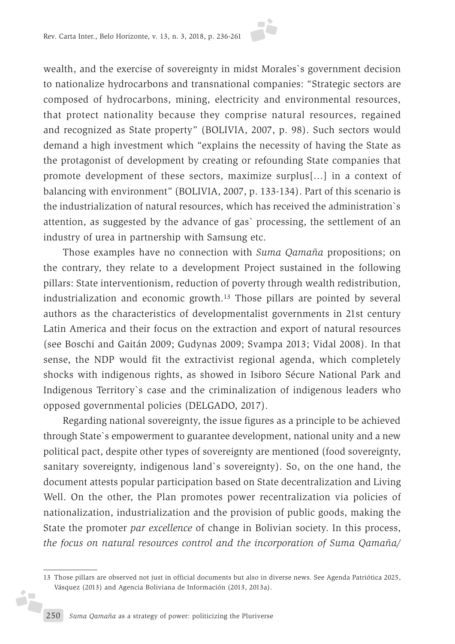wealth, and the exercise of sovereignty in midst Morales`s government decision to nationalize hydrocarbons and transnational companies: "Strategic sectors are composed of hydrocarbons, mining, electricity and environmental resources, that protect nationality because they comprise natural resources, regained and recognized as State property" (BOLIVIA, 2007, p. 98). Such sectors would demand a high investment which "explains the necessity of having the State as the protagonist of development by creating or refounding State companies that promote development of these sectors, maximize surplus[…] in a context of balancing with environment" (BOLIVIA, 2007, p. 133-134). Part of this scenario is the industrialization of natural resources, which has received the administration`s attention, as suggested by the advance of gas` processing, the settlement of an industry of urea in partnership with Samsung etc.

Those examples have no connection with *Suma Qamaña* propositions; on the contrary, they relate to a development Project sustained in the following pillars: State interventionism, reduction of poverty through wealth redistribution, industrialization and economic growth.13 Those pillars are pointed by several authors as the characteristics of developmentalist governments in 21st century Latin America and their focus on the extraction and export of natural resources (see Boschi and Gaitán 2009; Gudynas 2009; Svampa 2013; Vidal 2008). In that sense, the NDP would fit the extractivist regional agenda, which completely shocks with indigenous rights, as showed in Isiboro Sécure National Park and Indigenous Territory`s case and the criminalization of indigenous leaders who opposed governmental policies (DELGADO, 2017).

Regarding national sovereignty, the issue figures as a principle to be achieved through State`s empowerment to guarantee development, national unity and a new political pact, despite other types of sovereignty are mentioned (food sovereignty, sanitary sovereignty, indigenous land`s sovereignty). So, on the one hand, the document attests popular participation based on State decentralization and Living Well. On the other, the Plan promotes power recentralization via policies of nationalization, industrialization and the provision of public goods, making the State the promoter *par excellence* of change in Bolivian society. In this process, *the focus on natural resources control and the incorporation of Suma Qamaña/*

i7

<sup>13</sup> Those pillars are observed not just in official documents but also in diverse news. See Agenda Patriótica 2025, Vásquez (2013) and Agencia Boliviana de Información (2013, 2013a).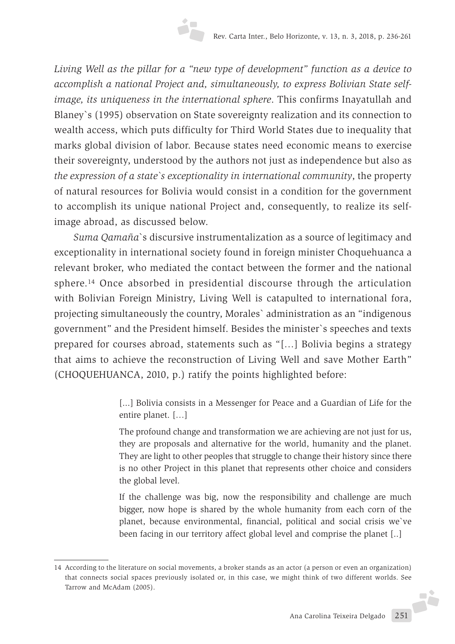*Living Well as the pillar for a "new type of development" function as a device to accomplish a national Project and, simultaneously, to express Bolivian State selfimage, its uniqueness in the international sphere*. This confirms Inayatullah and Blaney`s (1995) observation on State sovereignty realization and its connection to wealth access, which puts difficulty for Third World States due to inequality that marks global division of labor. Because states need economic means to exercise their sovereignty, understood by the authors not just as independence but also as *the expression of a state`s exceptionality in international community*, the property of natural resources for Bolivia would consist in a condition for the government to accomplish its unique national Project and, consequently, to realize its selfimage abroad, as discussed below.

*Suma Qamaña*`s discursive instrumentalization as a source of legitimacy and exceptionality in international society found in foreign minister Choquehuanca a relevant broker, who mediated the contact between the former and the national sphere.14 Once absorbed in presidential discourse through the articulation with Bolivian Foreign Ministry, Living Well is catapulted to international fora, projecting simultaneously the country, Morales` administration as an "indigenous government" and the President himself. Besides the minister`s speeches and texts prepared for courses abroad, statements such as "[…] Bolivia begins a strategy that aims to achieve the reconstruction of Living Well and save Mother Earth" (CHOQUEHUANCA, 2010, p.) ratify the points highlighted before:

> [...] Bolivia consists in a Messenger for Peace and a Guardian of Life for the entire planet. […]

> The profound change and transformation we are achieving are not just for us, they are proposals and alternative for the world, humanity and the planet. They are light to other peoples that struggle to change their history since there is no other Project in this planet that represents other choice and considers the global level.

> If the challenge was big, now the responsibility and challenge are much bigger, now hope is shared by the whole humanity from each corn of the planet, because environmental, financial, political and social crisis we`ve been facing in our territory affect global level and comprise the planet [..]

<sup>14</sup> According to the literature on social movements, a broker stands as an actor (a person or even an organization) that connects social spaces previously isolated or, in this case, we might think of two different worlds. See Tarrow and McAdam (2005).J.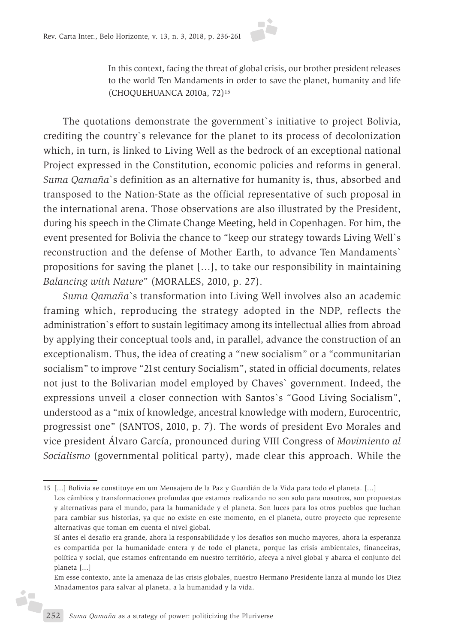

The quotations demonstrate the government`s initiative to project Bolivia, crediting the country`s relevance for the planet to its process of decolonization which, in turn, is linked to Living Well as the bedrock of an exceptional national Project expressed in the Constitution, economic policies and reforms in general. *Suma Qamaña*`s definition as an alternative for humanity is, thus, absorbed and transposed to the Nation-State as the official representative of such proposal in the international arena. Those observations are also illustrated by the President, during his speech in the Climate Change Meeting, held in Copenhagen. For him, the event presented for Bolivia the chance to "keep our strategy towards Living Well`s reconstruction and the defense of Mother Earth, to advance Ten Mandaments` propositions for saving the planet […], to take our responsibility in maintaining *Balancing with Nature*" (MORALES, 2010, p. 27).

*Suma Qamaña*`s transformation into Living Well involves also an academic framing which, reproducing the strategy adopted in the NDP, reflects the administration`s effort to sustain legitimacy among its intellectual allies from abroad by applying their conceptual tools and, in parallel, advance the construction of an exceptionalism. Thus, the idea of creating a "new socialism" or a "communitarian socialism" to improve "21st century Socialism", stated in official documents, relates not just to the Bolivarian model employed by Chaves` government. Indeed, the expressions unveil a closer connection with Santos`s "Good Living Socialism", understood as a "mix of knowledge, ancestral knowledge with modern, Eurocentric, progressist one" (SANTOS, 2010, p. 7). The words of president Evo Morales and vice president Álvaro García, pronounced during VIII Congress of *Movimiento al Socialismo* (governmental political party), made clear this approach. While the

i,

<sup>15</sup> [...] Bolivia se constituye em um Mensajero de la Paz y Guardián de la Vida para todo el planeta. [...]

Los câmbios y transformaciones profundas que estamos realizando no son solo para nosotros, son propuestas y alternativas para el mundo, para la humanidade y el planeta. Son luces para los otros pueblos que luchan para cambiar sus historias, ya que no existe en este momento, en el planeta, outro proyecto que represente alternativas que toman em cuenta el nivel global.

Sí antes el desafio era grande, ahora la responsabilidade y los desafios son mucho mayores, ahora la esperanza es compartida por la humanidade entera y de todo el planeta, porque las crisis ambientales, financeiras, política y social, que estamos enfrentando em nuestro território, afecya a nível global y abarca el conjunto del planeta [...]

Em esse contexto, ante la amenaza de las crisis globales, nuestro Hermano Presidente lanza al mundo los Diez Mnadamentos para salvar al planeta, a la humanidad y la vida.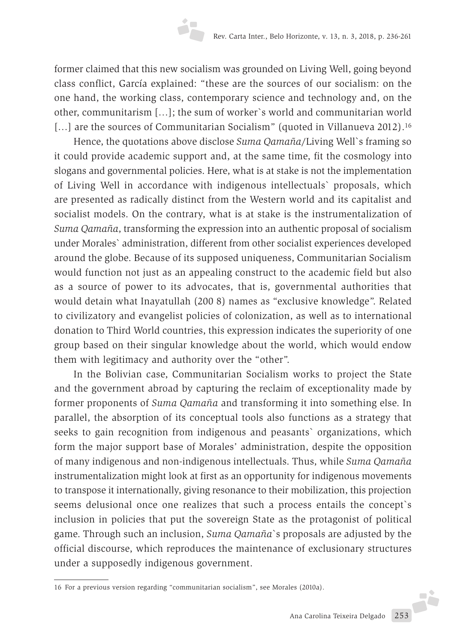former claimed that this new socialism was grounded on Living Well, going beyond class conflict, García explained: "these are the sources of our socialism: on the one hand, the working class, contemporary science and technology and, on the other, communitarism […]; the sum of worker`s world and communitarian world [...] are the sources of Communitarian Socialism" (quoted in Villanueva 2012).<sup>16</sup>

Hence, the quotations above disclose *Suma Qamaña*/Living Well`s framing so it could provide academic support and, at the same time, fit the cosmology into slogans and governmental policies. Here, what is at stake is not the implementation of Living Well in accordance with indigenous intellectuals` proposals, which are presented as radically distinct from the Western world and its capitalist and socialist models. On the contrary, what is at stake is the instrumentalization of *Suma Qamaña*, transforming the expression into an authentic proposal of socialism under Morales` administration, different from other socialist experiences developed around the globe. Because of its supposed uniqueness, Communitarian Socialism would function not just as an appealing construct to the academic field but also as a source of power to its advocates, that is, governmental authorities that would detain what Inayatullah (200 8) names as "exclusive knowledge". Related to civilizatory and evangelist policies of colonization, as well as to international donation to Third World countries, this expression indicates the superiority of one group based on their singular knowledge about the world, which would endow them with legitimacy and authority over the "other".

In the Bolivian case, Communitarian Socialism works to project the State and the government abroad by capturing the reclaim of exceptionality made by former proponents of *Suma Qamaña* and transforming it into something else. In parallel, the absorption of its conceptual tools also functions as a strategy that seeks to gain recognition from indigenous and peasants` organizations, which form the major support base of Morales' administration, despite the opposition of many indigenous and non-indigenous intellectuals. Thus, while *Suma Qamaña* instrumentalization might look at first as an opportunity for indigenous movements to transpose it internationally, giving resonance to their mobilization, this projection seems delusional once one realizes that such a process entails the concept`s inclusion in policies that put the sovereign State as the protagonist of political game. Through such an inclusion, *Suma Qamaña*`s proposals are adjusted by the official discourse, which reproduces the maintenance of exclusionary structures under a supposedly indigenous government.

<sup>16</sup> For a previous version regarding "communitarian socialism", see Morales (2010a).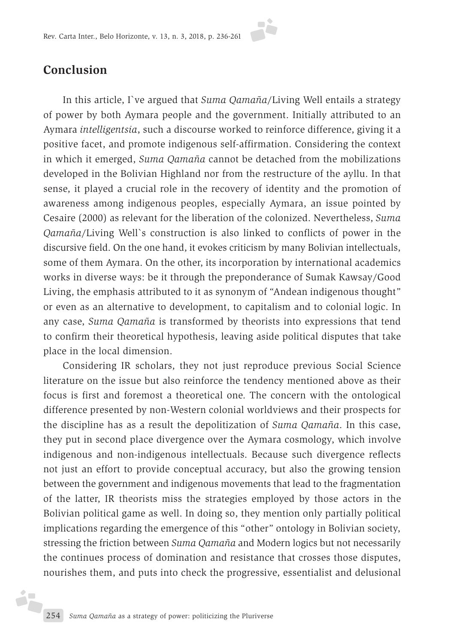

In this article, I`ve argued that *Suma Qamaña*/Living Well entails a strategy of power by both Aymara people and the government. Initially attributed to an Aymara *intelligentsia*, such a discourse worked to reinforce difference, giving it a positive facet, and promote indigenous self-affirmation. Considering the context in which it emerged, *Suma Qamaña* cannot be detached from the mobilizations developed in the Bolivian Highland nor from the restructure of the ayllu. In that sense, it played a crucial role in the recovery of identity and the promotion of awareness among indigenous peoples, especially Aymara, an issue pointed by Cesaire (2000) as relevant for the liberation of the colonized. Nevertheless, *Suma Qamaña*/Living Well`s construction is also linked to conflicts of power in the discursive field. On the one hand, it evokes criticism by many Bolivian intellectuals, some of them Aymara. On the other, its incorporation by international academics works in diverse ways: be it through the preponderance of Sumak Kawsay/Good Living, the emphasis attributed to it as synonym of "Andean indigenous thought" or even as an alternative to development, to capitalism and to colonial logic. In any case, *Suma Qamaña* is transformed by theorists into expressions that tend to confirm their theoretical hypothesis, leaving aside political disputes that take place in the local dimension.

Considering IR scholars, they not just reproduce previous Social Science literature on the issue but also reinforce the tendency mentioned above as their focus is first and foremost a theoretical one. The concern with the ontological difference presented by non-Western colonial worldviews and their prospects for the discipline has as a result the depolitization of *Suma Qamaña*. In this case, they put in second place divergence over the Aymara cosmology, which involve indigenous and non-indigenous intellectuals. Because such divergence reflects not just an effort to provide conceptual accuracy, but also the growing tension between the government and indigenous movements that lead to the fragmentation of the latter, IR theorists miss the strategies employed by those actors in the Bolivian political game as well. In doing so, they mention only partially political implications regarding the emergence of this "other" ontology in Bolivian society, stressing the friction between *Suma Qamaña* and Modern logics but not necessarily the continues process of domination and resistance that crosses those disputes, nourishes them, and puts into check the progressive, essentialist and delusional

iz,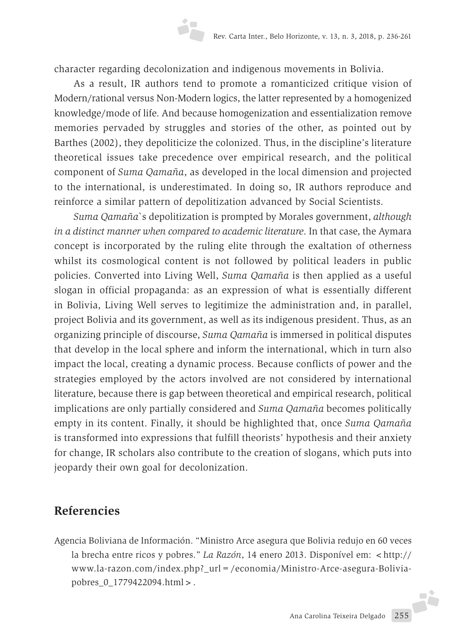character regarding decolonization and indigenous movements in Bolivia.

As a result, IR authors tend to promote a romanticized critique vision of Modern/rational versus Non-Modern logics, the latter represented by a homogenized knowledge/mode of life. And because homogenization and essentialization remove memories pervaded by struggles and stories of the other, as pointed out by Barthes (2002), they depoliticize the colonized. Thus, in the discipline's literature theoretical issues take precedence over empirical research, and the political component of *Suma Qamaña*, as developed in the local dimension and projected to the international, is underestimated. In doing so, IR authors reproduce and reinforce a similar pattern of depolitization advanced by Social Scientists.

*Suma Qamaña*`s depolitization is prompted by Morales government, *although in a distinct manner when compared to academic literature*. In that case, the Aymara concept is incorporated by the ruling elite through the exaltation of otherness whilst its cosmological content is not followed by political leaders in public policies. Converted into Living Well, *Suma Qamaña* is then applied as a useful slogan in official propaganda: as an expression of what is essentially different in Bolivia, Living Well serves to legitimize the administration and, in parallel, project Bolivia and its government, as well as its indigenous president. Thus, as an organizing principle of discourse, *Suma Qamaña* is immersed in political disputes that develop in the local sphere and inform the international, which in turn also impact the local, creating a dynamic process. Because conflicts of power and the strategies employed by the actors involved are not considered by international literature, because there is gap between theoretical and empirical research, political implications are only partially considered and *Suma Qamaña* becomes politically empty in its content. Finally, it should be highlighted that, once *Suma Qamaña* is transformed into expressions that fulfill theorists' hypothesis and their anxiety for change, IR scholars also contribute to the creation of slogans, which puts into jeopardy their own goal for decolonization.

## **Referencies**

Agencia Boliviana de Información. "Ministro Arce asegura que Bolivia redujo en 60 veces la brecha entre ricos y pobres." *La Razón*, 14 enero 2013. Disponível em: <http:// www.la-razon.com/index.php?\_url=/economia/Ministro-Arce-asegura-Boliviapobres\_0\_1779422094.html>.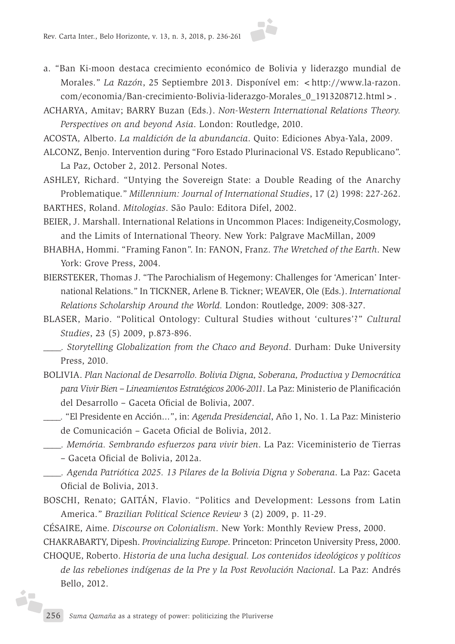- a. "Ban Ki-moon destaca crecimiento económico de Bolivia y liderazgo mundial de Morales." *La Razón*, 25 Septiembre 2013. Disponível em: <http://www.la-razon. com/economia/Ban-crecimiento-Bolivia-liderazgo-Morales\_0\_1913208712.html>.
- ACHARYA, Amitav; BARRY Buzan (Eds.). *Non-Western International Relations Theory. Perspectives on and beyond Asia*. London: Routledge, 2010.
- ACOSTA*,* Alberto. *La maldición de la abundancia*. Quito: Ediciones Abya-Yala, 2009.
- ALCONZ, Benjo. Intervention during "Foro Estado Plurinacional VS. Estado Republicano". La Paz, October 2, 2012. Personal Notes.
- ASHLEY, Richard. "Untying the Sovereign State: a Double Reading of the Anarchy Problematique." *Millennium: Journal of International Studies*, 17 (2) 1998: 227-262. BARTHES, Roland. *Mitologias*. São Paulo: Editora Difel, 2002.
- BEIER, J. Marshall. International Relations in Uncommon Places: Indigeneity,Cosmology, and the Limits of International Theory. New York: Palgrave MacMillan, 2009
- BHABHA, Hommi. "Framing Fanon". In: FANON, Franz. *The Wretched of the Earth*. New York: Grove Press, 2004.
- BIERSTEKER, Thomas J. "The Parochialism of Hegemony: Challenges for 'American' International Relations." In TICKNER, Arlene B. Tickner; WEAVER, Ole (Eds.). *International Relations Scholarship Around the World.* London: Routledge, 2009: 308-327.
- BLASER, Mario. "Political Ontology: Cultural Studies without 'cultures'?" *Cultural Studies*, 23 (5) 2009, p.873-896.
- *\_\_\_\_. Storytelling Globalization from the Chaco and Beyond*. Durham: Duke University Press, 2010.
- BOLIVIA. *Plan Nacional de Desarrollo. Bolivia Digna, Soberana, Productiva y Democrática para Vivir Bien – Lineamientos Estratégicos 2006-2011*. La Paz: Ministerio de Planificación del Desarrollo – Gaceta Oficial de Bolivia, 2007.
- *\_\_\_\_.* "El Presidente en Acción...", in: *Agenda Presidencial*, Año 1, No. 1. La Paz: Ministerio de Comunicación – Gaceta Oficial de Bolivia, 2012.
- *\_\_\_\_. Memória. Sembrando esfuerzos para vivir bien*. La Paz: Viceministerio de Tierras
	- Gaceta Oficial de Bolivia, 2012a.
- *\_\_\_\_. Agenda Patriótica 2025. 13 Pilares de la Bolivia Digna y Soberana*. La Paz: Gaceta Oficial de Bolivia, 2013.
- BOSCHI, Renato; GAITÁN, Flavio. "Politics and Development: Lessons from Latin America." *Brazilian Political Science Review* 3 (2) 2009, p. 11-29.
- CÉSAIRE, Aime. *Discourse on Colonialism*. New York: Monthly Review Press, 2000.
- CHAKRABARTY, Dipesh. *Provincializing Europe*. Princeton: Princeton University Press, 2000.
- CHOQUE, Roberto. *Historia de una lucha desigual. Los contenidos ideológicos y políticos de las rebeliones indígenas de la Pre y la Post Revolución Nacional*. La Paz: Andrés Bello, 2012.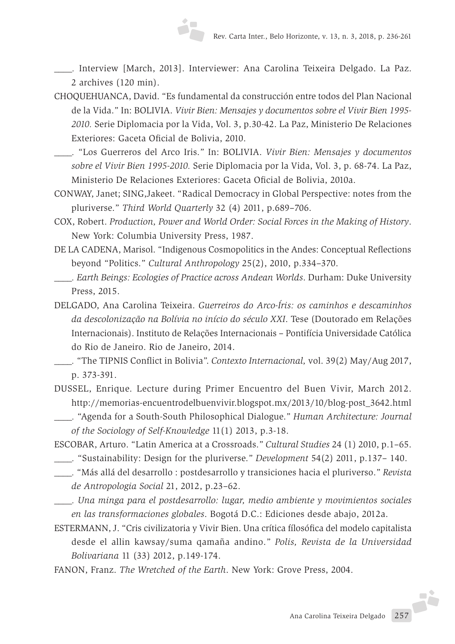*\_\_\_\_.* Interview [March, 2013]. Interviewer: Ana Carolina Teixeira Delgado. La Paz. 2 archives (120 min).

- CHOQUEHUANCA, David. "Es fundamental da construcción entre todos del Plan Nacional de la Vida." In: BOLIVIA. *Vivir Bien: Mensajes y documentos sobre el Vivir Bien 1995- 2010.* Serie Diplomacia por la Vida, Vol. 3, p.30-42. La Paz, Ministerio De Relaciones Exteriores: Gaceta Oficial de Bolivia, 2010.
- *\_\_\_\_.* "Los Guerreros del Arco Iris." In: BOLIVIA. *Vivir Bien: Mensajes y documentos sobre el Vivir Bien 1995-2010.* Serie Diplomacia por la Vida, Vol. 3, p. 68-74. La Paz, Ministerio De Relaciones Exteriores: Gaceta Oficial de Bolivia, 2010a.
- CONWAY, Janet; SING,Jakeet. "Radical Democracy in Global Perspective: notes from the pluriverse." *Third World Quarterly* 32 (4) 2011, p.689–706.
- COX, Robert. *Production, Power and World Order: Social Forces in the Making of History*. New York: Columbia University Press, 1987.
- DE LA CADENA, Marisol. "Indigenous Cosmopolitics in the Andes: Conceptual Reflections beyond "Politics." *Cultural Anthropology* 25(2), 2010, p.334–370.
- *\_\_\_\_. Earth Beings: Ecologies of Practice across Andean Worlds*. Durham: Duke University Press, 2015.
- DELGADO, Ana Carolina Teixeira. *Guerreiros do Arco-Íris: os caminhos e descaminhos da descolonização na Bolívia no início do século XXI*. Tese (Doutorado em Relações Internacionais). Instituto de Relações Internacionais – Pontifícia Universidade Católica do Rio de Janeiro. Rio de Janeiro, 2014.
- *\_\_\_\_.* "The TIPNIS Conflict in Bolivia". *Contexto Internacional,* vol. 39(2) May/Aug 2017, p. 373-391.
- DUSSEL, Enrique. Lecture during Primer Encuentro del Buen Vivir, March 2012. http://memorias-encuentrodelbuenvivir.blogspot.mx/2013/10/blog-post\_3642.html
- *\_\_\_\_.* "Agenda for a South-South Philosophical Dialogue." *Human Architecture: Journal of the Sociology of Self-Knowledge* 11(1) 2013, p.3-18.
- ESCOBAR, Arturo. "Latin America at a Crossroads." *Cultural Studies* 24 (1) 2010, p.1–65. *\_\_\_\_.* "Sustainability: Design for the pluriverse." *Development* 54(2) 2011, p.137– 140.
- *\_\_\_\_.* "Más allá del desarrollo : postdesarrollo y transiciones hacia el pluriverso." *Revista de Antropologia Social* 21, 2012, p.23–62.
- *\_\_\_\_. Una minga para el postdesarrollo: lugar, medio ambiente y movimientos sociales en las transformaciones globales*. Bogotá D.C.: Ediciones desde abajo, 2012a.
- ESTERMANN, J. "Cris civilizatoria y Vivir Bien. Una crítica fílosófica del modelo capitalista desde el allin kawsay/suma qamaña andino." *Polis, Revista de la Universidad Bolivariana* 11 (33) 2012, p.149-174.
- FANON, Franz. *The Wretched of the Earth*. New York: Grove Press, 2004.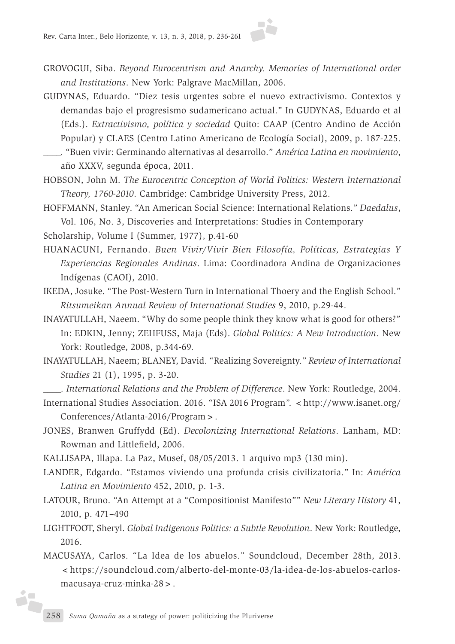- GROVOGUI, Siba. *Beyond Eurocentrism and Anarchy. Memories of International order and Institutions*. New York: Palgrave MacMillan, 2006.
- GUDYNAS, Eduardo. "Diez tesis urgentes sobre el nuevo extractivismo. Contextos y demandas bajo el progresismo sudamericano actual." In GUDYNAS, Eduardo et al (Eds.). *Extractivismo, política y sociedad* Quito: CAAP (Centro Andino de Acción Popular) y CLAES (Centro Latino Americano de Ecología Social), 2009, p. 187-225.
- *\_\_\_\_.* "Buen vivir: Germinando alternativas al desarrollo." *América Latina en movimiento*, año XXXV, segunda época, 2011.
- HOBSON, John M. *The Eurocentric Conception of World Politics: Western International Theory, 1760-2010*. Cambridge: Cambridge University Press, 2012.
- HOFFMANN, Stanley. "An American Social Science: International Relations." *Daedalus*, Vol. 106, No. 3, Discoveries and Interpretations: Studies in Contemporary
- Scholarship, Volume I (Summer, 1977), p.41-60
- HUANACUNI, Fernando. *Buen Vivir/Vivir Bien Filosofía, Políticas, Estrategias Y Experiencias Regionales Andinas*. Lima: Coordinadora Andina de Organizaciones Indígenas (CAOI), 2010.
- IKEDA, Josuke. "The Post-Western Turn in International Thoery and the English School." *Ritsumeikan Annual Review of International Studies* 9, 2010, p.29-44.
- INAYATULLAH, Naeem. "Why do some people think they know what is good for others?" In: EDKIN, Jenny; ZEHFUSS, Maja (Eds). *Global Politics: A New Introduction*. New York: Routledge, 2008, p.344-69*.*
- INAYATULLAH, Naeem; BLANEY, David. "Realizing Sovereignty." *Review of International Studies* 21 (1), 1995, p. 3-20.
- *\_\_\_\_. International Relations and the Problem of Difference*. New York: Routledge, 2004.
- International Studies Association. 2016. "ISA 2016 Program". <http://www.isanet.org/ Conferences/Atlanta-2016/Program>.
- JONES, Branwen Gruffydd (Ed). *Decolonizing International Relations*. Lanham, MD: Rowman and Littlefield, 2006.
- KALLISAPA, Illapa. La Paz, Musef, 08/05/2013. 1 arquivo mp3 (130 min).
- LANDER, Edgardo. "Estamos viviendo una profunda crisis civilizatoria." In: *América Latina en Movimiento* 452, 2010, p. 1-3.
- LATOUR, Bruno. "An Attempt at a "Compositionist Manifesto"" *New Literary History* 41, 2010, p. 471–490
- LIGHTFOOT, Sheryl. *Global Indigenous Politics: a Subtle Revolution*. New York: Routledge, 2016.
- MACUSAYA, Carlos. "La Idea de los abuelos." Soundcloud, December 28th, 2013. <https://soundcloud.com/alberto-del-monte-03/la-idea-de-los-abuelos-carlosmacusaya-cruz-minka-28>.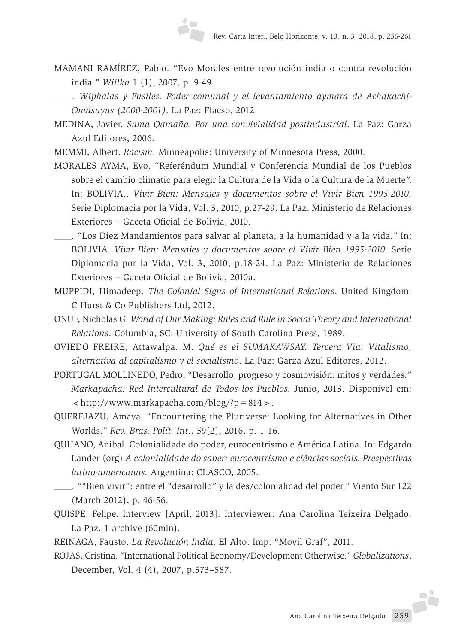- MAMANI RAMÍREZ, Pablo. "Evo Morales entre revolución india o contra revolución india." *Willka* 1 (1), 2007, p. 9-49.
- *\_\_\_\_. Wiphalas y Fusiles. Poder comunal y el levantamiento aymara de Achakachi-Omasuyus (2000-2001)*. La Paz: Flacso, 2012.
- MEDINA, Javier. *Suma Qamaña. Por una convivialidad postindustrial*. La Paz: Garza Azul Editores, 2006.

MEMMI, Albert. *Racism*. Minneapolis: University of Minnesota Press, 2000.

- MORALES AYMA, Evo. "Referéndum Mundial y Conferencia Mundial de los Pueblos sobre el cambio climatic para elegir la Cultura de la Vida o la Cultura de la Muerte". In: BOLIVIA.. *Vivir Bien: Mensajes y documentos sobre el Vivir Bien 1995-2010.*  Serie Diplomacia por la Vida, Vol. 3, 2010, p.27-29. La Paz: Ministerio de Relaciones Exteriores – Gaceta Oficial de Bolivia, 2010.
- *\_\_\_\_.* "Los Diez Mandamientos para salvar al planeta, a la humanidad y a la vida." In: BOLIVIA. *Vivir Bien: Mensajes y documentos sobre el Vivir Bien 1995-2010.* Serie Diplomacia por la Vida, Vol. 3, 2010, p.18-24. La Paz: Ministerio de Relaciones Exteriores – Gaceta Oficial de Bolivia, 2010a.
- MUPPIDI, Himadeep. *The Colonial Signs of International Relations*. United Kingdom: C Hurst & Co Publishers Ltd, 2012.
- ONUF, Nicholas G. *World of Our Making: Rules and Rule in Social Theory and International Relations*. Columbia, SC: University of South Carolina Press, 1989.
- OVIEDO FREIRE, Attawalpa. M. *Qué es el SUMAKAWSAY. Tercera Via: Vitalismo, alternativa al capitalismo y el socialismo*. La Paz: Garza Azul Editores, 2012.
- PORTUGAL MOLLINEDO, Pedro. "Desarrollo, progreso y cosmovisión: mitos y verdades." *Markapacha: Red Intercultural de Todos los Pueblos.* Junio, 2013. Disponível em:  $\lt$ http://www.markapacha.com/blog/?p = 814 > .
- QUEREJAZU, Amaya. "Encountering the Pluriverse: Looking for Alternatives in Other Worlds." *Rev. Bras. Polít. Int*., 59(2), 2016, p. 1-16.
- QUIJANO, Anibal. Colonialidade do poder, eurocentrismo e América Latina. In: Edgardo Lander (org) *A colonialidade do saber: eurocentrismo e ciências sociais. Prespectivas latino-americanas.* Argentina: CLASCO, 2005.
- *\_\_\_\_.* ""Bien vivir": entre el "desarrollo" y la des/colonialidad del poder." Viento Sur 122 (March 2012), p. 46-56.
- QUISPE, Felipe. Interview [April, 2013]. Interviewer: Ana Carolina Teixeira Delgado. La Paz. 1 archive (60min).
- REINAGA, Fausto. *La Revolución India*. El Alto: Imp. "Movil Graf", 2011.
- ROJAS, Cristina. "International Political Economy/Development Otherwise." *Globalizations*, December, Vol. 4 (4), 2007, p.573–587.

Ana Carolina Teixeira Delgado 259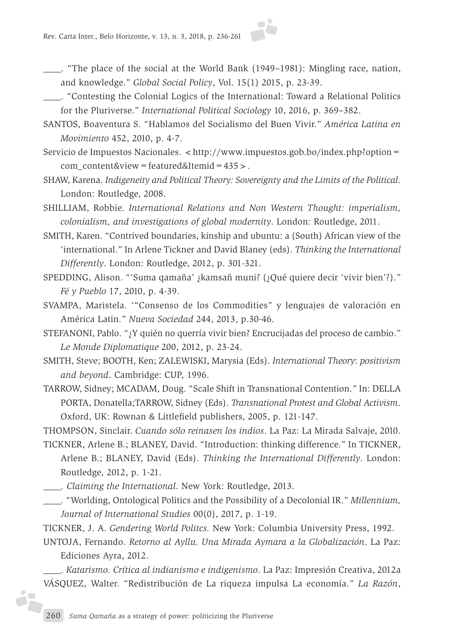

- *\_\_\_\_.* "The place of the social at the World Bank (1949–1981): Mingling race, nation, and knowledge." *Global Social Policy*, Vol. 15(1) 2015, p. 23-39.
- *\_\_\_\_.* "Contesting the Colonial Logics of the International: Toward a Relational Politics for the Pluriverse." *International Political Sociology* 10, 2016, p. 369–382.
- SANTOS, Boaventura S. "Hablamos del Socialismo del Buen Vivir." *América Latina en Movimiento* 452, 2010, p. 4-7.
- Servicio de Impuestos Nacionales. <http://www.impuestos.gob.bo/index.php?option= com\_content&view=featured&Itemid=435>.
- SHAW, Karena. *Indigeneity and Political Theory: Sovereignty and the Limits of the Political*. London: Routledge, 2008.
- SHILLIAM, Robbie. *International Relations and Non Western Thought: imperialism, colonialism, and investigations of global modernity*. London: Routledge, 2011.
- SMITH, Karen. "Contrived boundaries, kinship and ubuntu: a (South) African view of the 'international." In Arlene Tickner and David Blaney (eds). *Thinking the International Differently*. London: Routledge, 2012, p. 301-321.
- SPEDDING, Alison. "'Suma qamaña' ¿kamsañ muni? (¿Qué quiere decir 'vivir bien'?)." *Fé y Pueblo* 17, 2010, p. 4-39.
- SVAMPA, Maristela. '"Consenso de los Commodities" y lenguajes de valoración en América Latin." *Nueva Sociedad* 244, 2013, p.30-46.
- STEFANONI, Pablo. "¿Y quién no querría vivir bien? Encrucijadas del proceso de cambio." *Le Monde Diplomatique* 200, 2012, p. 23-24.
- SMITH, Steve; BOOTH, Ken; ZALEWISKI, Marysia (Eds). *International Theory*: *positivism and beyond*. Cambridge: CUP, 1996.

TARROW, Sidney; MCADAM, Doug. "Scale Shift in Transnational Contention." In: DELLA PORTA, Donatella;TARROW, Sidney (Eds). *Transnational Protest and Global Activism*. Oxford, UK: Rownan & Littlefield publishers, 2005, p. 121-147.

```
THOMPSON, Sinclair. Cuando sólo reinasen los indios. La Paz: La Mirada Salvaje, 2010.
```
TICKNER, Arlene B.; BLANEY, David. "Introduction: thinking difference." In TICKNER, Arlene B.; BLANEY, David (Eds). *Thinking the International Differently*. London: Routledge, 2012, p. 1-21.

*\_\_\_\_. Claiming the International*. New York: Routledge, 2013.

- *\_\_\_\_.* "Worlding, Ontological Politics and the Possibility of a Decolonial IR." *Millennium, Journal of International Studies* 00(0), 2017, p. 1-19.
- TICKNER, J. A. *Gendering World Politcs.* New York: Columbia University Press, 1992.
- UNTOJA, Fernando. *Retorno al Ayllu. Una Mirada Aymara a la Globalización*. La Paz: Ediciones Ayra, 2012.

*\_\_\_\_. Katarismo. Crítica al indianismo e indigenismo*. La Paz: Impresión Creativa, 2012a VÁSQUEZ, Walter. "Redistribución de La riqueza impulsa La economía." *La Razón*,